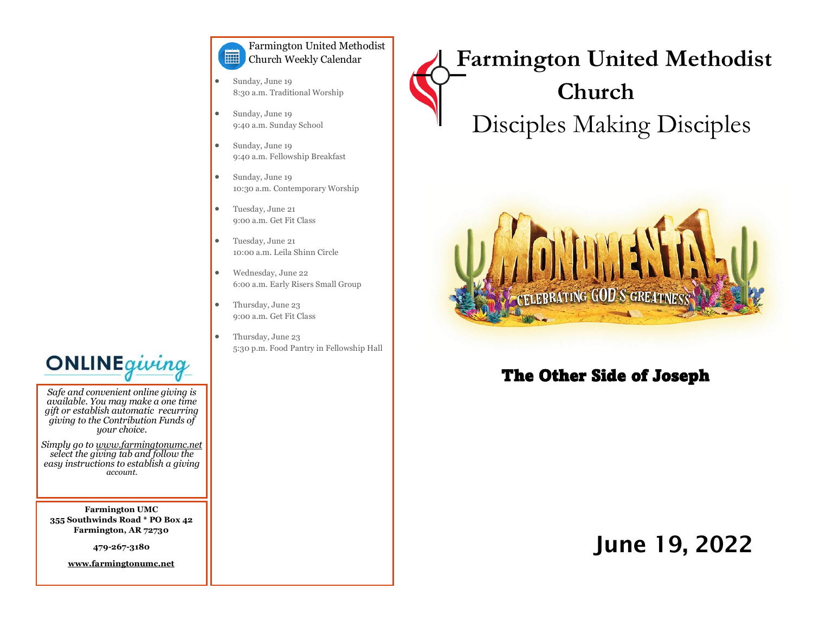#### Farmington United Methodist 篇 Church Weekly Calendar

- Sunday, June 19 8:30 a.m. Traditional Worship
- Sunday, June 19 9:40 a.m. Sunday School
- Sunday, June 19 9:40 a.m. Fellowship Breakfast
- Sunday, June 19 10:30 a.m. Contemporary Worship
- Tuesday, June 21 9:00 a.m. Get Fit Class
- Tuesday, June 21 10:00 a.m. Leila Shinn Circle
- Wednesday, June 22 6:00 a.m. Early Risers Small Group
- Thursday, June 23 9:00 a.m. Get Fit Class
	- Thursday, June 23 5:30 p.m. Food Pantry in Fellowship Hall

 **Farmington United Methodist Church** Disciples Making Disciples



### The Other Side of Joseph

# June 19, 2022



*Safe and convenient online giving is available. You may make a one time gift or establish automatic recurring giving to the Contribution Funds of your choice.* 

*Simply go to www.farmingtonumc.net select the giving tab and follow the easy instructions to establish a giving account.* 

**Farmington UMC 355 Southwinds Road \* PO Box 42 Farmington, AR 72730**

**479-267-3180** 

**www.farmingtonumc.net**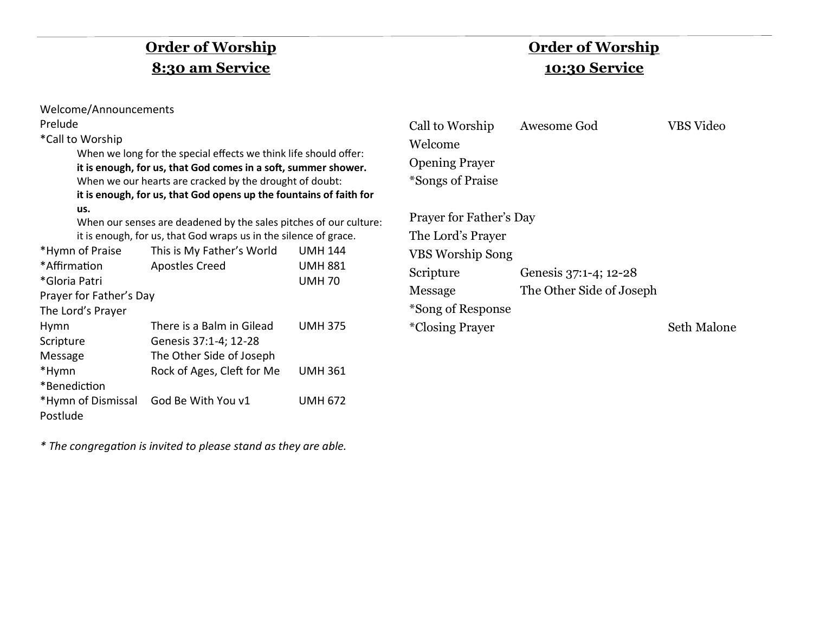## **Order of Worship 8:30 am Service**

### **Order of Worship 10:30 Service**

| Welcome/Announcements                                                                                                                                                                                                                                                                              |                                                                                                                                                                                      |                                                   |                                                                                                                      |                                                   |                    |
|----------------------------------------------------------------------------------------------------------------------------------------------------------------------------------------------------------------------------------------------------------------------------------------------------|--------------------------------------------------------------------------------------------------------------------------------------------------------------------------------------|---------------------------------------------------|----------------------------------------------------------------------------------------------------------------------|---------------------------------------------------|--------------------|
| Prelude<br>*Call to Worship<br>When we long for the special effects we think life should offer:<br>it is enough, for us, that God comes in a soft, summer shower.<br>When we our hearts are cracked by the drought of doubt:<br>it is enough, for us, that God opens up the fountains of faith for |                                                                                                                                                                                      |                                                   | Call to Worship<br>Welcome<br><b>Opening Prayer</b><br>*Songs of Praise                                              | VBS Video                                         |                    |
| us.<br>*Hymn of Praise<br>*Affirmation<br>*Gloria Patri<br>Prayer for Father's Day<br>The Lord's Prayer                                                                                                                                                                                            | When our senses are deadened by the sales pitches of our culture:<br>it is enough, for us, that God wraps us in the silence of grace.<br>This is My Father's World<br>Apostles Creed | <b>UMH 144</b><br><b>UMH 881</b><br><b>UMH 70</b> | Prayer for Father's Day<br>The Lord's Prayer<br><b>VBS Worship Song</b><br>Scripture<br>Message<br>*Song of Response | Genesis 37:1-4; 12-28<br>The Other Side of Joseph |                    |
| Hymn<br>Scripture<br>Message<br>*Hymn                                                                                                                                                                                                                                                              | There is a Balm in Gilead<br>Genesis 37:1-4; 12-28<br>The Other Side of Joseph<br>Rock of Ages, Cleft for Me                                                                         | <b>UMH 375</b><br><b>UMH 361</b>                  | <i>*Closing Prayer</i>                                                                                               |                                                   | <b>Seth Malone</b> |
| *Benediction<br>*Hymn of Dismissal<br>Postlude                                                                                                                                                                                                                                                     | God Be With You v1                                                                                                                                                                   | <b>UMH 672</b>                                    |                                                                                                                      |                                                   |                    |

*\* The congregation is invited to please stand as they are able.*